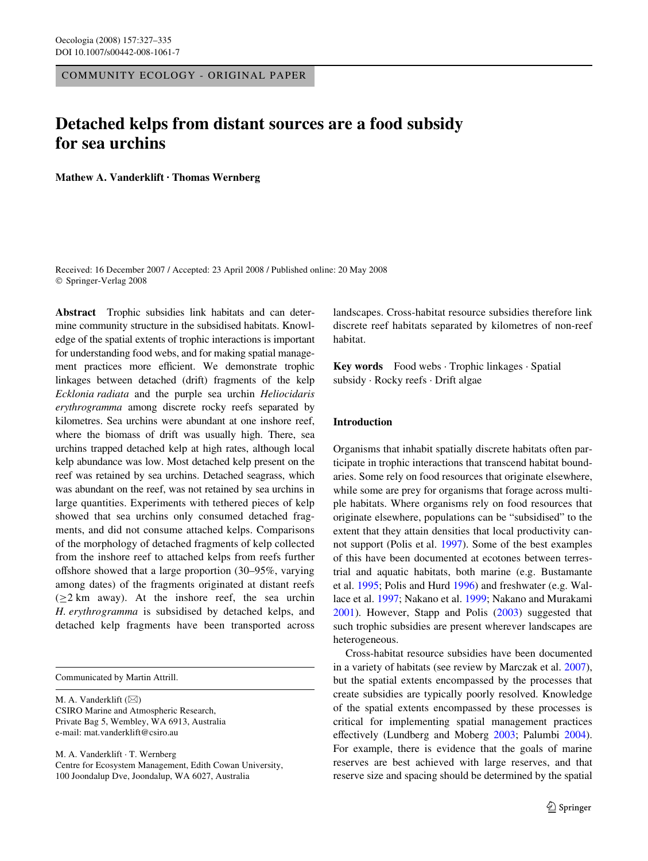COMMUNITY ECOLOGY - ORIGINAL PAPER

# **Detached kelps from distant sources are a food subsidy for sea urchins**

**Mathew A. Vanderklift · Thomas Wernberg** 

Received: 16 December 2007 / Accepted: 23 April 2008 / Published online: 20 May 2008 © Springer-Verlag 2008

**Abstract** Trophic subsidies link habitats and can determine community structure in the subsidised habitats. Knowledge of the spatial extents of trophic interactions is important for understanding food webs, and for making spatial management practices more efficient. We demonstrate trophic linkages between detached (drift) fragments of the kelp *Ecklonia radiata* and the purple sea urchin *Heliocidaris erythrogramma* among discrete rocky reefs separated by kilometres. Sea urchins were abundant at one inshore reef, where the biomass of drift was usually high. There, sea urchins trapped detached kelp at high rates, although local kelp abundance was low. Most detached kelp present on the reef was retained by sea urchins. Detached seagrass, which was abundant on the reef, was not retained by sea urchins in large quantities. Experiments with tethered pieces of kelp showed that sea urchins only consumed detached fragments, and did not consume attached kelps. Comparisons of the morphology of detached fragments of kelp collected from the inshore reef to attached kelps from reefs further offshore showed that a large proportion  $(30-95\% , \text{ varying})$ among dates) of the fragments originated at distant reefs  $(\geq 2 \text{ km}$  away). At the inshore reef, the sea urchin *H. erythrogramma* is subsidised by detached kelps, and detached kelp fragments have been transported across

Communicated by Martin Attrill.

M. A. Vanderklift  $(\boxtimes)$ CSIRO Marine and Atmospheric Research, Private Bag 5, Wembley, WA 6913, Australia e-mail: mat.vanderklift@csiro.au

M. A. Vanderklift · T. Wernberg Centre for Ecosystem Management, Edith Cowan University, 100 Joondalup Dve, Joondalup, WA 6027, Australia

landscapes. Cross-habitat resource subsidies therefore link discrete reef habitats separated by kilometres of non-reef habitat.

**Key words** Food webs · Trophic linkages · Spatial subsidy · Rocky reefs · Drift algae

## **Introduction**

Organisms that inhabit spatially discrete habitats often participate in trophic interactions that transcend habitat boundaries. Some rely on food resources that originate elsewhere, while some are prey for organisms that forage across multiple habitats. Where organisms rely on food resources that originate elsewhere, populations can be "subsidised" to the extent that they attain densities that local productivity cannot support (Polis et al. [1997\)](#page-8-0). Some of the best examples of this have been documented at ecotones between terrestrial and aquatic habitats, both marine (e.g. Bustamante et al. [1995](#page-7-0); Polis and Hurd [1996](#page-8-1)) and freshwater (e.g. Wallace et al. [1997](#page-8-2); Nakano et al. [1999](#page-8-3); Nakano and Murakami [2001](#page-8-4)). However, Stapp and Polis ([2003\)](#page-8-5) suggested that such trophic subsidies are present wherever landscapes are heterogeneous.

Cross-habitat resource subsidies have been documented in a variety of habitats (see review by Marczak et al. [2007](#page-8-6)), but the spatial extents encompassed by the processes that create subsidies are typically poorly resolved. Knowledge of the spatial extents encompassed by these processes is critical for implementing spatial management practices effectively (Lundberg and Moberg [2003;](#page-8-7) Palumbi [2004](#page-8-8)). For example, there is evidence that the goals of marine reserves are best achieved with large reserves, and that reserve size and spacing should be determined by the spatial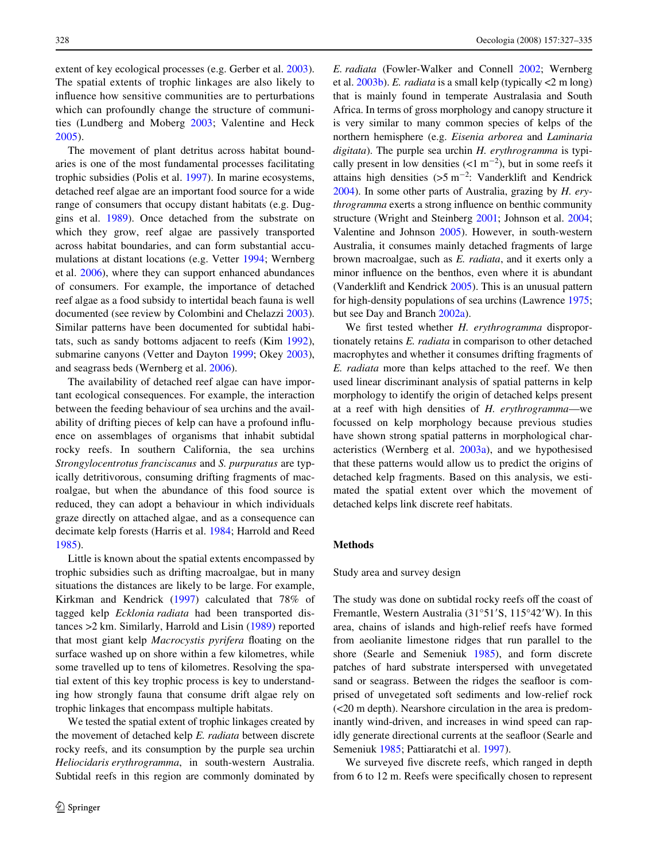extent of key ecological processes (e.g. Gerber et al. [2003](#page-8-9)). The spatial extents of trophic linkages are also likely to influence how sensitive communities are to perturbations which can profoundly change the structure of communities (Lundberg and Moberg [2003](#page-8-7); Valentine and Heck [2005](#page-8-10)).

The movement of plant detritus across habitat boundaries is one of the most fundamental processes facilitating trophic subsidies (Polis et al. [1997](#page-8-0)). In marine ecosystems, detached reef algae are an important food source for a wide range of consumers that occupy distant habitats (e.g. Duggins et al. [1989\)](#page-8-11). Once detached from the substrate on which they grow, reef algae are passively transported across habitat boundaries, and can form substantial accumulations at distant locations (e.g. Vetter [1994](#page-8-12); Wernberg et al. [2006\)](#page-8-13), where they can support enhanced abundances of consumers. For example, the importance of detached reef algae as a food subsidy to intertidal beach fauna is well documented (see review by Colombini and Chelazzi [2003](#page-8-14)). Similar patterns have been documented for subtidal habitats, such as sandy bottoms adjacent to reefs (Kim [1992](#page-8-15)), submarine canyons (Vetter and Dayton [1999;](#page-8-16) Okey [2003](#page-8-17)), and seagrass beds (Wernberg et al. [2006](#page-8-13)).

The availability of detached reef algae can have important ecological consequences. For example, the interaction between the feeding behaviour of sea urchins and the availability of drifting pieces of kelp can have a profound influence on assemblages of organisms that inhabit subtidal rocky reefs. In southern California, the sea urchins *Strongylocentrotus franciscanus* and *S. purpuratus* are typically detritivorous, consuming drifting fragments of macroalgae, but when the abundance of this food source is reduced, they can adopt a behaviour in which individuals graze directly on attached algae, and as a consequence can decimate kelp forests (Harris et al. [1984](#page-8-18); Harrold and Reed [1985](#page-8-19)).

Little is known about the spatial extents encompassed by trophic subsidies such as drifting macroalgae, but in many situations the distances are likely to be large. For example, Kirkman and Kendrick ([1997\)](#page-8-20) calculated that 78% of tagged kelp *Ecklonia radiata* had been transported distances >2 km. Similarly, Harrold and Lisin ([1989\)](#page-8-21) reported that most giant kelp *Macrocystis pyrifera* floating on the surface washed up on shore within a few kilometres, while some travelled up to tens of kilometres. Resolving the spatial extent of this key trophic process is key to understanding how strongly fauna that consume drift algae rely on trophic linkages that encompass multiple habitats.

We tested the spatial extent of trophic linkages created by the movement of detached kelp *E. radiata* between discrete rocky reefs, and its consumption by the purple sea urchin *Heliocidaris erythrogramma*, in south-western Australia. Subtidal reefs in this region are commonly dominated by *E. radiata* (Fowler-Walker and Connell [2002;](#page-8-22) Wernberg et al. [2003b](#page-8-23)). *E. radiata* is a small kelp (typically <2 m long) that is mainly found in temperate Australasia and South Africa. In terms of gross morphology and canopy structure it is very similar to many common species of kelps of the northern hemisphere (e.g. *Eisenia arborea* and *Laminaria digitata*). The purple sea urchin *H. erythrogramma* is typically present in low densities  $(<1 \text{ m}^{-2})$ , but in some reefs it attains high densities  $(5 \text{ m}^{-2})$ : Vanderklift and Kendrick [2004\)](#page-8-24). In some other parts of Australia, grazing by *H. erythrogramma* exerts a strong influence on benthic community structure (Wright and Steinberg [2001](#page-8-25); Johnson et al. [2004;](#page-8-26) Valentine and Johnson [2005\)](#page-8-27). However, in south-western Australia, it consumes mainly detached fragments of large brown macroalgae, such as *E. radiata*, and it exerts only a minor influence on the benthos, even where it is abundant (Vanderklift and Kendrick [2005\)](#page-8-28). This is an unusual pattern for high-density populations of sea urchins (Lawrence [1975;](#page-8-29) but see Day and Branch [2002a](#page-8-30)).

We first tested whether *H. erythrogramma* disproportionately retains *E. radiata* in comparison to other detached macrophytes and whether it consumes drifting fragments of *E. radiata* more than kelps attached to the reef. We then used linear discriminant analysis of spatial patterns in kelp morphology to identify the origin of detached kelps present at a reef with high densities of *H. erythrogramma*—we focussed on kelp morphology because previous studies have shown strong spatial patterns in morphological characteristics (Wernberg et al. [2003a\)](#page-8-31), and we hypothesised that these patterns would allow us to predict the origins of detached kelp fragments. Based on this analysis, we estimated the spatial extent over which the movement of detached kelps link discrete reef habitats.

## **Methods**

#### Study area and survey design

The study was done on subtidal rocky reefs off the coast of Fremantle, Western Australia  $(31°51'S, 115°42'W)$ . In this area, chains of islands and high-relief reefs have formed from aeolianite limestone ridges that run parallel to the shore (Searle and Semeniuk [1985](#page-8-32)), and form discrete patches of hard substrate interspersed with unvegetated sand or seagrass. Between the ridges the seafloor is comprised of unvegetated soft sediments and low-relief rock (<20 m depth). Nearshore circulation in the area is predominantly wind-driven, and increases in wind speed can rapidly generate directional currents at the seafloor (Searle and Semeniuk [1985;](#page-8-32) Pattiaratchi et al. [1997\)](#page-8-33).

We surveyed five discrete reefs, which ranged in depth from 6 to 12 m. Reefs were specifically chosen to represent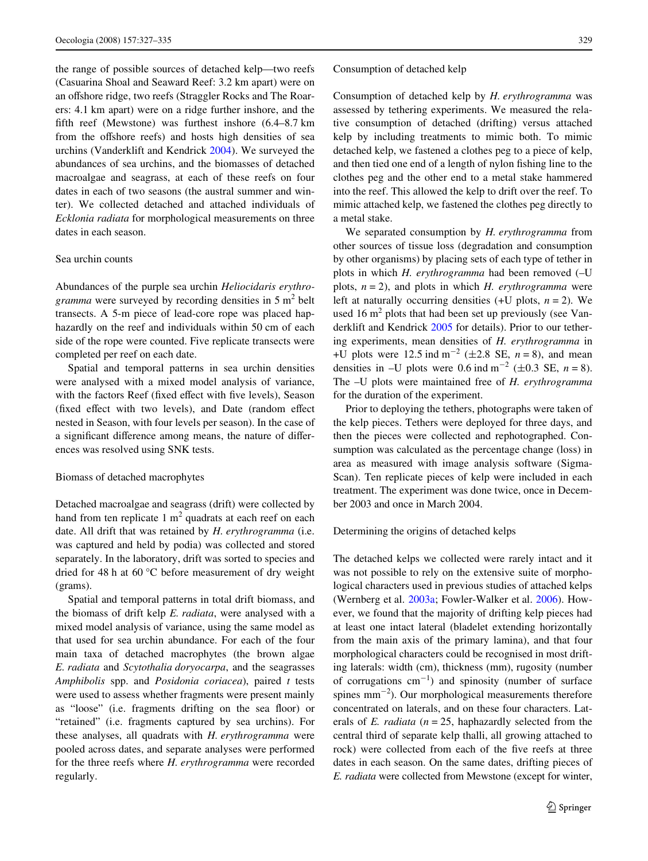the range of possible sources of detached kelp—two reefs (Casuarina Shoal and Seaward Reef: 3.2 km apart) were on an offshore ridge, two reefs (Straggler Rocks and The Roarers: 4.1 km apart) were on a ridge further inshore, and the fifth reef (Mewstone) was furthest inshore  $(6.4-8.7 \text{ km})$ from the offshore reefs) and hosts high densities of sea urchins (Vanderklift and Kendrick [2004\)](#page-8-24). We surveyed the abundances of sea urchins, and the biomasses of detached macroalgae and seagrass, at each of these reefs on four dates in each of two seasons (the austral summer and winter). We collected detached and attached individuals of *Ecklonia radiata* for morphological measurements on three dates in each season.

## Sea urchin counts

Abundances of the purple sea urchin *Heliocidaris erythro*gramma were surveyed by recording densities in 5 m<sup>2</sup> belt transects. A 5-m piece of lead-core rope was placed haphazardly on the reef and individuals within 50 cm of each side of the rope were counted. Five replicate transects were completed per reef on each date.

Spatial and temporal patterns in sea urchin densities were analysed with a mixed model analysis of variance, with the factors Reef (fixed effect with five levels), Season (fixed effect with two levels), and Date (random effect nested in Season, with four levels per season). In the case of a significant difference among means, the nature of differences was resolved using SNK tests.

#### Biomass of detached macrophytes

Detached macroalgae and seagrass (drift) were collected by hand from ten replicate 1  $m<sup>2</sup>$  quadrats at each reef on each date. All drift that was retained by *H. erythrogramma* (i.e. was captured and held by podia) was collected and stored separately. In the laboratory, drift was sorted to species and dried for 48 h at 60 °C before measurement of dry weight (grams).

Spatial and temporal patterns in total drift biomass, and the biomass of drift kelp *E. radiata*, were analysed with a mixed model analysis of variance, using the same model as that used for sea urchin abundance. For each of the four main taxa of detached macrophytes (the brown algae *E. radiata* and *Scytothalia doryocarpa*, and the seagrasses *Amphibolis* spp. and *Posidonia coriacea*), paired *t* tests were used to assess whether fragments were present mainly as "loose" (i.e. fragments drifting on the sea floor) or "retained" (i.e. fragments captured by sea urchins). For these analyses, all quadrats with *H. erythrogramma* were pooled across dates, and separate analyses were performed for the three reefs where *H. erythrogramma* were recorded regularly.

#### Consumption of detached kelp

Consumption of detached kelp by *H. erythrogramma* was assessed by tethering experiments. We measured the relative consumption of detached (drifting) versus attached kelp by including treatments to mimic both. To mimic detached kelp, we fastened a clothes peg to a piece of kelp, and then tied one end of a length of nylon fishing line to the clothes peg and the other end to a metal stake hammered into the reef. This allowed the kelp to drift over the reef. To mimic attached kelp, we fastened the clothes peg directly to a metal stake.

We separated consumption by *H. erythrogramma* from other sources of tissue loss (degradation and consumption by other organisms) by placing sets of each type of tether in plots in which *H. erythrogramma* had been removed (–U plots,  $n = 2$ ), and plots in which *H. erythrogramma* were left at naturally occurring densities  $(+U$  plots,  $n = 2$ ). We used 16  $m<sup>2</sup>$  plots that had been set up previously (see Vanderklift and Kendrick [2005](#page-8-28) for details). Prior to our tethering experiments, mean densities of *H. erythrogramma* in +U plots were 12.5 ind  $m^{-2}$  ( $\pm 2.8$  SE,  $n = 8$ ), and mean densities in  $-U$  plots were 0.6 ind m<sup>-2</sup> ( $\pm$ 0.3 SE, *n* = 8). The –U plots were maintained free of *H. erythrogramma* for the duration of the experiment.

Prior to deploying the tethers, photographs were taken of the kelp pieces. Tethers were deployed for three days, and then the pieces were collected and rephotographed. Consumption was calculated as the percentage change (loss) in area as measured with image analysis software (Sigma-Scan). Ten replicate pieces of kelp were included in each treatment. The experiment was done twice, once in December 2003 and once in March 2004.

Determining the origins of detached kelps

The detached kelps we collected were rarely intact and it was not possible to rely on the extensive suite of morphological characters used in previous studies of attached kelps (Wernberg et al. [2003a;](#page-8-31) Fowler-Walker et al. [2006\)](#page-8-34). However, we found that the majority of drifting kelp pieces had at least one intact lateral (bladelet extending horizontally from the main axis of the primary lamina), and that four morphological characters could be recognised in most drifting laterals: width (cm), thickness (mm), rugosity (number of corrugations  $cm^{-1}$ ) and spinosity (number of surface spines  $mm^{-2}$ ). Our morphological measurements therefore concentrated on laterals, and on these four characters. Laterals of *E. radiata* (*n* = 25, haphazardly selected from the central third of separate kelp thalli, all growing attached to rock) were collected from each of the five reefs at three dates in each season. On the same dates, drifting pieces of *E. radiata* were collected from Mewstone (except for winter,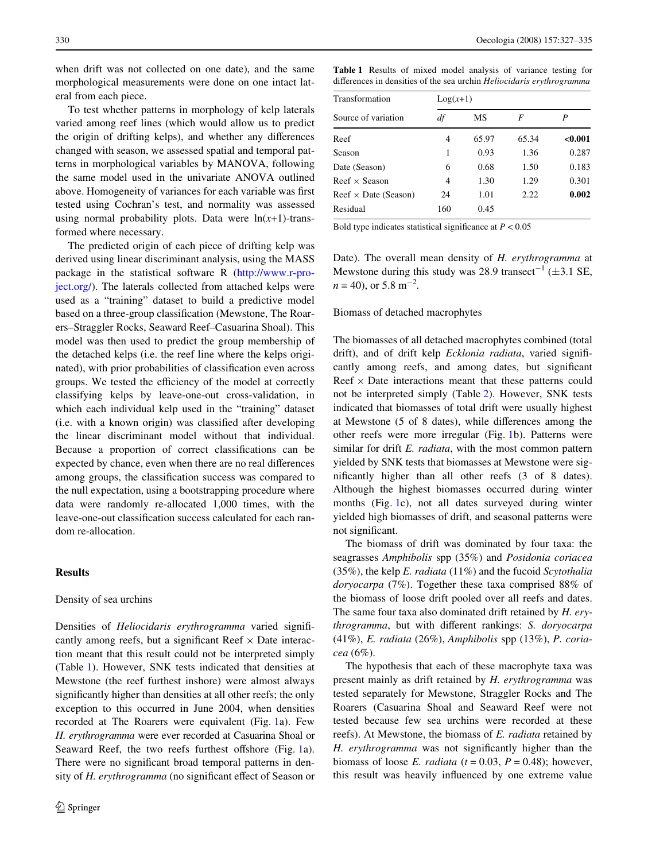when drift was not collected on one date), and the same morphological measurements were done on one intact lateral from each piece.

To test whether patterns in morphology of kelp laterals varied among reef lines (which would allow us to predict the origin of drifting kelps), and whether any differences changed with season, we assessed spatial and temporal patterns in morphological variables by MANOVA, following the same model used in the univariate ANOVA outlined above. Homogeneity of variances for each variable was first tested using Cochran's test, and normality was assessed using normal probability plots. Data were  $ln(x+1)$ -transformed where necessary.

The predicted origin of each piece of drifting kelp was derived using linear discriminant analysis, using the MASS package in the statistical software R ([http://www.r-pro](http://www.r-project.org/)[ject.org/](http://www.r-project.org/)). The laterals collected from attached kelps were used as a "training" dataset to build a predictive model based on a three-group classification (Mewstone, The Roarers–Straggler Rocks, Seaward Reef–Casuarina Shoal). This model was then used to predict the group membership of the detached kelps (i.e. the reef line where the kelps originated), with prior probabilities of classification even across groups. We tested the efficiency of the model at correctly classifying kelps by leave-one-out cross-validation, in which each individual kelp used in the "training" dataset  $(i.e.$  with a known origin) was classified after developing the linear discriminant model without that individual. Because a proportion of correct classifications can be expected by chance, even when there are no real differences among groups, the classification success was compared to the null expectation, using a bootstrapping procedure where data were randomly re-allocated 1,000 times, with the leave-one-out classification success calculated for each random re-allocation.

## **Results**

## Density of sea urchins

Densities of *Heliocidaris erythrogramma* varied significantly among reefs, but a significant Reef  $\times$  Date interaction meant that this result could not be interpreted simply (Table [1\)](#page-3-0). However, SNK tests indicated that densities at Mewstone (the reef furthest inshore) were almost always significantly higher than densities at all other reefs; the only exception to this occurred in June 2004, when densities recorded at The Roarers were equivalent (Fig. [1a](#page-4-0)). Few *H. erythrogramma* were ever recorded at Casuarina Shoal or Seaward Reef, the two reefs furthest offshore (Fig. [1a](#page-4-0)). There were no significant broad temporal patterns in density of *H. erythrogramma* (no significant effect of Season or <span id="page-3-0"></span>**Table 1** Results of mixed model analysis of variance testing for differences in densities of the sea urchin *Heliocidaris erythrogramma* 

| Transformation              | $Log(x+1)$ |       |       |         |  |  |  |
|-----------------------------|------------|-------|-------|---------|--|--|--|
| Source of variation         | df         | МS    | F     | P       |  |  |  |
| Reef                        | 4          | 65.97 | 65.34 | < 0.001 |  |  |  |
| Season                      | 1          | 0.93  | 1.36  | 0.287   |  |  |  |
| Date (Season)               | 6          | 0.68  | 1.50  | 0.183   |  |  |  |
| Reef $\times$ Season        | 4          | 1.30  | 1.29  | 0.301   |  |  |  |
| $Reef \times Date$ (Season) | 24         | 1.01  | 2.22  | 0.002   |  |  |  |
| Residual                    | 160        | 0.45  |       |         |  |  |  |

Bold type indicates statistical significance at  $P < 0.05$ 

Date). The overall mean density of *H. erythrogramma* at Mewstone during this study was 28.9 transect<sup>-1</sup> ( $\pm$ 3.1 SE,  $n = 40$ , or 5.8 m<sup>-2</sup>.

#### Biomass of detached macrophytes

The biomasses of all detached macrophytes combined (total drift), and of drift kelp *Ecklonia radiata*, varied significantly among reefs, and among dates, but significant Reef  $\times$  Date interactions meant that these patterns could not be interpreted simply (Table [2](#page-5-0)). However, SNK tests indicated that biomasses of total drift were usually highest at Mewstone  $(5 \text{ of } 8 \text{ dates})$ , while differences among the other reefs were more irregular (Fig. [1b](#page-4-0)). Patterns were similar for drift *E. radiata*, with the most common pattern yielded by SNK tests that biomasses at Mewstone were significantly higher than all other reefs  $(3 \text{ of } 8 \text{ dates})$ . Although the highest biomasses occurred during winter months (Fig. [1](#page-4-0)c), not all dates surveyed during winter yielded high biomasses of drift, and seasonal patterns were not significant.

The biomass of drift was dominated by four taxa: the seagrasses *Amphibolis* spp (35%) and *Posidonia coriacea* (35%), the kelp *E. radiata* (11%) and the fucoid *Scytothalia doryocarpa* (7%). Together these taxa comprised 88% of the biomass of loose drift pooled over all reefs and dates. The same four taxa also dominated drift retained by *H. erythrogramma*, but with different rankings: *S. doryocarpa* (41%), *E. radiata* (26%), *Amphibolis* spp (13%), *P. coriacea* (6%).

The hypothesis that each of these macrophyte taxa was present mainly as drift retained by *H. erythrogramma* was tested separately for Mewstone, Straggler Rocks and The Roarers (Casuarina Shoal and Seaward Reef were not tested because few sea urchins were recorded at these reefs). At Mewstone, the biomass of *E. radiata* retained by *H. erythrogramma* was not significantly higher than the biomass of loose *E. radiata* ( $t = 0.03$ ,  $P = 0.48$ ); however, this result was heavily influenced by one extreme value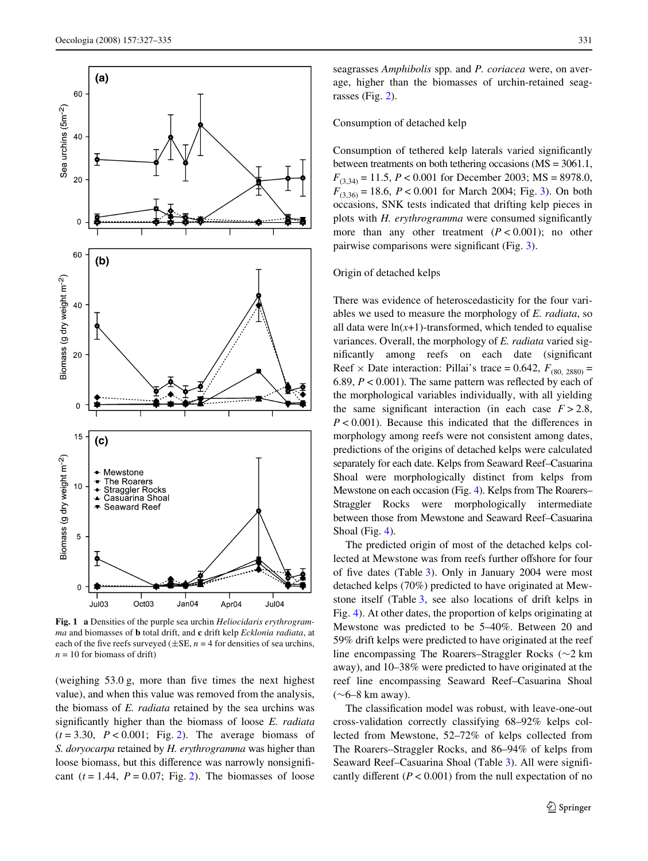

<span id="page-4-0"></span>**Fig. 1 a** Densities of the purple sea urchin *Heliocidaris erythrogramma* and biomasses of **b** total drift, and **c** drift kelp *Ecklonia radiata*, at each of the five reefs surveyed ( $\pm$ SE, *n* = 4 for densities of sea urchins,  $n = 10$  for biomass of drift)

(weighing  $53.0$  g, more than five times the next highest value), and when this value was removed from the analysis, the biomass of *E. radiata* retained by the sea urchins was significantly higher than the biomass of loose *E. radiata*  $(t = 3.30, P < 0.001$ ; Fig. [2](#page-5-1)). The average biomass of *S. doryocarpa* retained by *H. erythrogramma* was higher than loose biomass, but this difference was narrowly nonsignificant  $(t = 1.44, P = 0.07;$  Fig. [2\)](#page-5-1). The biomasses of loose seagrasses *Amphibolis* spp. and *P. coriacea* were, on average, higher than the biomasses of urchin-retained seagrasses (Fig. [2](#page-5-1)).

## Consumption of detached kelp

Consumption of tethered kelp laterals varied significantly between treatments on both tethering occasions (MS = 3061.1, *F*(3,34) = 11.5, *P* < 0.001 for December 2003; MS = 8978.0,  $F_{(3,36)} = 18.6$  $F_{(3,36)} = 18.6$  $F_{(3,36)} = 18.6$ ,  $P < 0.001$  for March 2004; Fig. 3). On both occasions, SNK tests indicated that drifting kelp pieces in plots with *H. erythrogramma* were consumed significantly more than any other treatment  $(P < 0.001)$ ; no other pairwise comparisons were significant (Fig.  $3$ ).

## Origin of detached kelps

There was evidence of heteroscedasticity for the four variables we used to measure the morphology of *E. radiata*, so all data were  $ln(x+1)$ -transformed, which tended to equalise variances. Overall, the morphology of *E. radiata* varied significantly among reefs on each date (significant Reef  $\times$  Date interaction: Pillai's trace = 0.642,  $F_{(80, 2880)}$  = 6.89,  $P < 0.001$ ). The same pattern was reflected by each of the morphological variables individually, with all yielding the same significant interaction (in each case  $F > 2.8$ ,  $P < 0.001$ ). Because this indicated that the differences in morphology among reefs were not consistent among dates, predictions of the origins of detached kelps were calculated separately for each date. Kelps from Seaward Reef–Casuarina Shoal were morphologically distinct from kelps from Mewstone on each occasion (Fig. [4](#page-6-1)). Kelps from The Roarers– Straggler Rocks were morphologically intermediate between those from Mewstone and Seaward Reef–Casuarina Shoal (Fig. [4](#page-6-1)).

The predicted origin of most of the detached kelps collected at Mewstone was from reefs further offshore for four of five dates (Table [3\)](#page-7-1). Only in January 2004 were most detached kelps (70%) predicted to have originated at Mewstone itself (Table [3](#page-7-1), see also locations of drift kelps in Fig. [4\)](#page-6-1). At other dates, the proportion of kelps originating at Mewstone was predicted to be 5–40%. Between 20 and 59% drift kelps were predicted to have originated at the reef line encompassing The Roarers–Straggler Rocks ( $\sim$ 2 km away), and 10–38% were predicted to have originated at the reef line encompassing Seaward Reef–Casuarina Shoal  $(\sim]6-8$  km away).

The classification model was robust, with leave-one-out cross-validation correctly classifying 68–92% kelps collected from Mewstone, 52–72% of kelps collected from The Roarers–Straggler Rocks, and 86–94% of kelps from Seaward Reef–Casuarina Shoal (Table [3](#page-7-1)). All were significantly different  $(P < 0.001)$  from the null expectation of no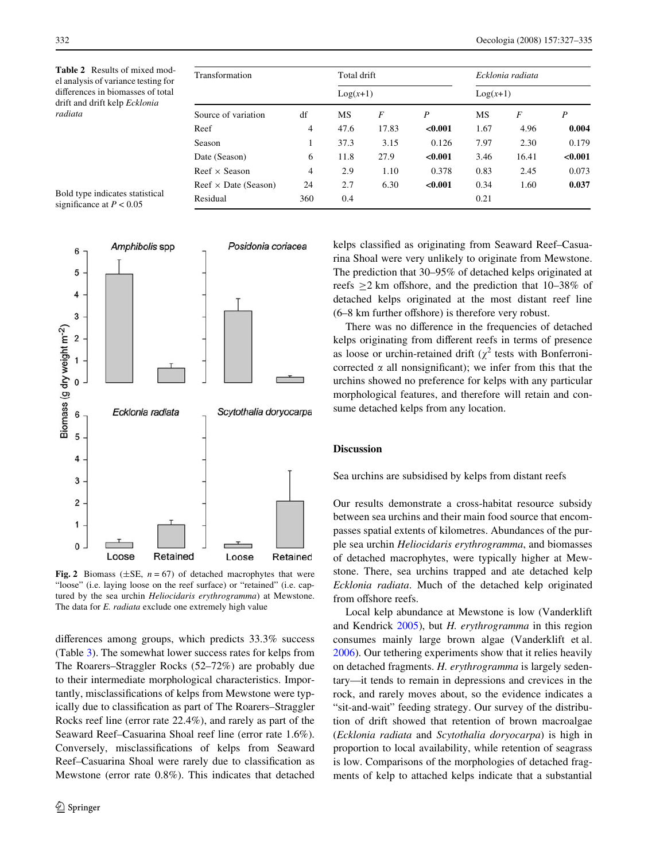<span id="page-5-0"></span>**Table 2** Results of mixed model analysis of variance testing for differences in biomasses of total drift and drift kelp *Ecklonia radiata*

| Transformation              | Total drift    |            |       | Ecklonia radiata |            |       |                  |
|-----------------------------|----------------|------------|-------|------------------|------------|-------|------------------|
|                             |                | $Log(x+1)$ |       |                  | $Log(x+1)$ |       |                  |
| Source of variation         | df             | <b>MS</b>  | F     | P                | MS         | F     | $\boldsymbol{P}$ |
| Reef                        | $\overline{4}$ | 47.6       | 17.83 | < 0.001          | 1.67       | 4.96  | 0.004            |
| Season                      | 1              | 37.3       | 3.15  | 0.126            | 7.97       | 2.30  | 0.179            |
| Date (Season)               | 6              | 11.8       | 27.9  | < 0.001          | 3.46       | 16.41 | < 0.001          |
| Reef $\times$ Season        | 4              | 2.9        | 1.10  | 0.378            | 0.83       | 2.45  | 0.073            |
| $Reef \times Date$ (Season) | 24             | 2.7        | 6.30  | < 0.001          | 0.34       | 1.60  | 0.037            |
| Residual                    | 360            | 0.4        |       |                  | 0.21       |       |                  |

Bold type indicates statistical significance at  $P < 0.05$ 



<span id="page-5-1"></span>**Fig. 2** Biomass ( $\pm$ SE, *n* = 67) of detached macrophytes that were "loose" (i.e. laying loose on the reef surface) or "retained" (i.e. captured by the sea urchin *Heliocidaris erythrogramma*) at Mewstone. The data for *E. radiata* exclude one extremely high value

differences among groups, which predicts  $33.3\%$  success (Table [3\)](#page-7-1). The somewhat lower success rates for kelps from The Roarers–Straggler Rocks (52–72%) are probably due to their intermediate morphological characteristics. Importantly, misclassifications of kelps from Mewstone were typically due to classification as part of The Roarers–Straggler Rocks reef line (error rate 22.4%), and rarely as part of the Seaward Reef–Casuarina Shoal reef line (error rate 1.6%). Conversely, misclassifications of kelps from Seaward Reef–Casuarina Shoal were rarely due to classification as Mewstone (error rate 0.8%). This indicates that detached kelps classified as originating from Seaward Reef–Casuarina Shoal were very unlikely to originate from Mewstone. The prediction that 30–95% of detached kelps originated at reefs  $>2$  km offshore, and the prediction that 10–38% of detached kelps originated at the most distant reef line  $(6-8 \text{ km further offshore})$  is therefore very robust.

There was no difference in the frequencies of detached kelps originating from different reefs in terms of presence as loose or urchin-retained drift ( $\chi^2$  tests with Bonferronicorrected  $\alpha$  all nonsignificant); we infer from this that the urchins showed no preference for kelps with any particular morphological features, and therefore will retain and consume detached kelps from any location.

## **Discussion**

## Sea urchins are subsidised by kelps from distant reefs

Our results demonstrate a cross-habitat resource subsidy between sea urchins and their main food source that encompasses spatial extents of kilometres. Abundances of the purple sea urchin *Heliocidaris erythrogramma*, and biomasses of detached macrophytes, were typically higher at Mewstone. There, sea urchins trapped and ate detached kelp *Ecklonia radiata*. Much of the detached kelp originated from offshore reefs.

Local kelp abundance at Mewstone is low (Vanderklift and Kendrick [2005\)](#page-8-28), but *H. erythrogramma* in this region consumes mainly large brown algae (Vanderklift et al. [2006](#page-8-35)). Our tethering experiments show that it relies heavily on detached fragments. *H. erythrogramma* is largely sedentary—it tends to remain in depressions and crevices in the rock, and rarely moves about, so the evidence indicates a "sit-and-wait" feeding strategy. Our survey of the distribution of drift showed that retention of brown macroalgae (*Ecklonia radiata* and *Scytothalia doryocarpa*) is high in proportion to local availability, while retention of seagrass is low. Comparisons of the morphologies of detached fragments of kelp to attached kelps indicate that a substantial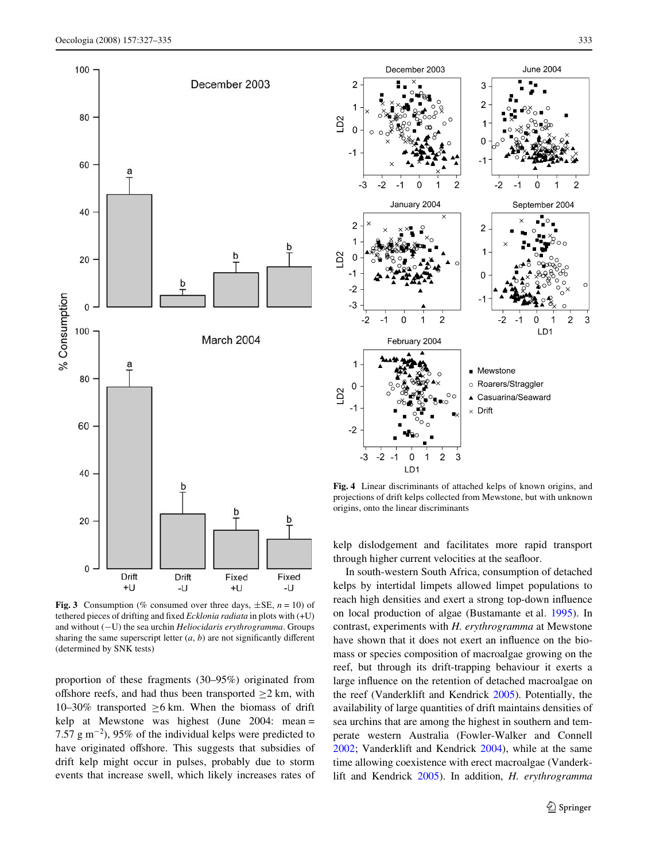

<span id="page-6-0"></span>**Fig. 3** Consumption (% consumed over three days,  $\pm$ SE,  $n = 10$ ) of tethered pieces of drifting and fixed *Ecklonia radiata* in plots with (+U) and without (-U) the sea urchin *Heliocidaris erythrogramma*. Groups sharing the same superscript letter  $(a, b)$  are not significantly different (determined by SNK tests)

proportion of these fragments (30–95%) originated from offshore reefs, and had thus been transported  $\geq$  2 km, with 10–30% transported  $\geq$ 6 km. When the biomass of drift kelp at Mewstone was highest (June 2004: mean = 7.57  $\text{g m}^{-2}$ ), 95% of the individual kelps were predicted to have originated offshore. This suggests that subsidies of drift kelp might occur in pulses, probably due to storm events that increase swell, which likely increases rates of



<span id="page-6-1"></span>**Fig. 4** Linear discriminants of attached kelps of known origins, and projections of drift kelps collected from Mewstone, but with unknown origins, onto the linear discriminants

kelp dislodgement and facilitates more rapid transport through higher current velocities at the seafloor.

In south-western South Africa, consumption of detached kelps by intertidal limpets allowed limpet populations to reach high densities and exert a strong top-down influence on local production of algae (Bustamante et al. [1995](#page-7-0)). In contrast, experiments with *H. erythrogramma* at Mewstone have shown that it does not exert an influence on the biomass or species composition of macroalgae growing on the reef, but through its drift-trapping behaviour it exerts a large influence on the retention of detached macroalgae on the reef (Vanderklift and Kendrick [2005](#page-8-28)). Potentially, the availability of large quantities of drift maintains densities of sea urchins that are among the highest in southern and temperate western Australia (Fowler-Walker and Connell [2002](#page-8-22); Vanderklift and Kendrick [2004](#page-8-24)), while at the same time allowing coexistence with erect macroalgae (Vanderklift and Kendrick [2005\)](#page-8-28). In addition, *H. erythrogramma*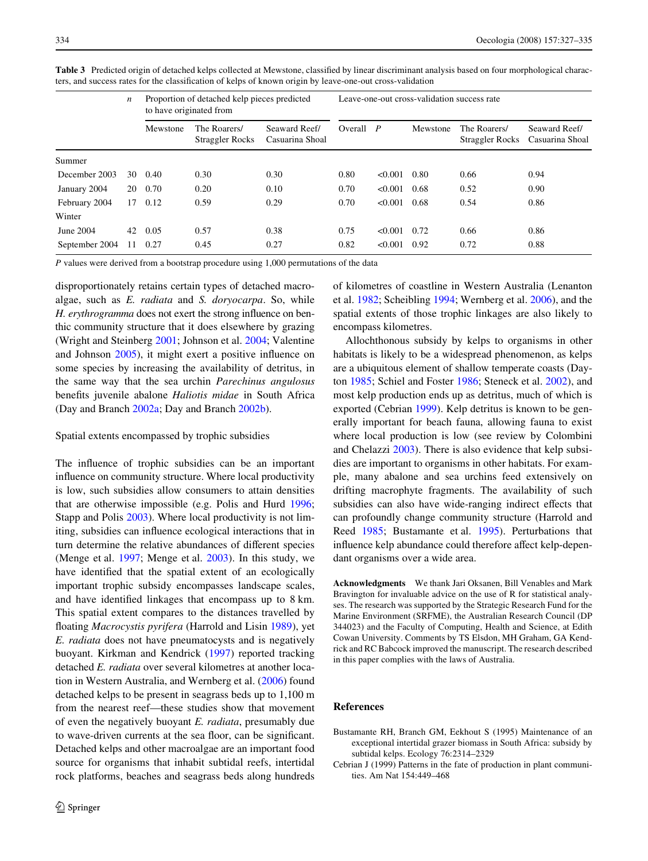|                | $\boldsymbol{n}$ | Proportion of detached kelp pieces predicted<br>to have originated from |                                 |                                  | Leave-one-out cross-validation success rate |         |          |                                 |                                  |  |
|----------------|------------------|-------------------------------------------------------------------------|---------------------------------|----------------------------------|---------------------------------------------|---------|----------|---------------------------------|----------------------------------|--|
|                |                  | Mewstone                                                                | The Roarers/<br>Straggler Rocks | Seaward Reef/<br>Casuarina Shoal | Overall $P$                                 |         | Mewstone | The Roarers/<br>Straggler Rocks | Seaward Reef/<br>Casuarina Shoal |  |
| Summer         |                  |                                                                         |                                 |                                  |                                             |         |          |                                 |                                  |  |
| December 2003  | 30               | 0.40                                                                    | 0.30                            | 0.30                             | 0.80                                        | < 0.001 | 0.80     | 0.66                            | 0.94                             |  |
| January 2004   | 20               | 0.70                                                                    | 0.20                            | 0.10                             | 0.70                                        | < 0.001 | 0.68     | 0.52                            | 0.90                             |  |
| February 2004  | 17               | 0.12                                                                    | 0.59                            | 0.29                             | 0.70                                        | < 0.001 | 0.68     | 0.54                            | 0.86                             |  |
| Winter         |                  |                                                                         |                                 |                                  |                                             |         |          |                                 |                                  |  |
| June 2004      | 42               | 0.05                                                                    | 0.57                            | 0.38                             | 0.75                                        | < 0.001 | 0.72     | 0.66                            | 0.86                             |  |
| September 2004 | 11               | 0.27                                                                    | 0.45                            | 0.27                             | 0.82                                        | < 0.001 | 0.92     | 0.72                            | 0.88                             |  |

<span id="page-7-1"></span>Table 3 Predicted origin of detached kelps collected at Mewstone, classified by linear discriminant analysis based on four morphological characters, and success rates for the classification of kelps of known origin by leave-one-out cross-validation

*P* values were derived from a bootstrap procedure using 1,000 permutations of the data

disproportionately retains certain types of detached macroalgae, such as *E. radiata* and *S. doryocarpa*. So, while *H. erythrogramma* does not exert the strong influence on benthic community structure that it does elsewhere by grazing (Wright and Steinberg [2001;](#page-8-25) Johnson et al. [2004](#page-8-26); Valentine and Johnson  $2005$ ), it might exert a positive influence on some species by increasing the availability of detritus, in the same way that the sea urchin *Parechinus angulosus* benefits juvenile abalone *Haliotis midae* in South Africa (Day and Branch [2002a](#page-8-30); Day and Branch [2002b\)](#page-8-36).

#### Spatial extents encompassed by trophic subsidies

The influence of trophic subsidies can be an important influence on community structure. Where local productivity is low, such subsidies allow consumers to attain densities that are otherwise impossible (e.g. Polis and Hurd [1996](#page-8-1); Stapp and Polis [2003](#page-8-5)). Where local productivity is not limiting, subsidies can influence ecological interactions that in turn determine the relative abundances of different species (Menge et al. [1997;](#page-8-37) Menge et al. [2003\)](#page-8-38). In this study, we have identified that the spatial extent of an ecologically important trophic subsidy encompasses landscape scales, and have identified linkages that encompass up to 8 km. This spatial extent compares to the distances travelled by floating *Macrocystis pyrifera* (Harrold and Lisin [1989](#page-8-21)), yet *E. radiata* does not have pneumatocysts and is negatively buoyant. Kirkman and Kendrick ([1997\)](#page-8-20) reported tracking detached *E. radiata* over several kilometres at another location in Western Australia, and Wernberg et al. [\(2006](#page-8-13)) found detached kelps to be present in seagrass beds up to 1,100 m from the nearest reef—these studies show that movement of even the negatively buoyant *E. radiata*, presumably due to wave-driven currents at the sea floor, can be significant. Detached kelps and other macroalgae are an important food source for organisms that inhabit subtidal reefs, intertidal rock platforms, beaches and seagrass beds along hundreds of kilometres of coastline in Western Australia (Lenanton et al. [1982;](#page-8-39) Scheibling [1994](#page-8-40); Wernberg et al. [2006](#page-8-13)), and the spatial extents of those trophic linkages are also likely to encompass kilometres.

Allochthonous subsidy by kelps to organisms in other habitats is likely to be a widespread phenomenon, as kelps are a ubiquitous element of shallow temperate coasts (Dayton [1985;](#page-8-41) Schiel and Foster [1986](#page-8-42); Steneck et al. [2002](#page-8-43)), and most kelp production ends up as detritus, much of which is exported (Cebrian [1999](#page-7-2)). Kelp detritus is known to be generally important for beach fauna, allowing fauna to exist where local production is low (see review by Colombini and Chelazzi [2003](#page-8-14)). There is also evidence that kelp subsidies are important to organisms in other habitats. For example, many abalone and sea urchins feed extensively on drifting macrophyte fragments. The availability of such subsidies can also have wide-ranging indirect effects that can profoundly change community structure (Harrold and Reed [1985](#page-8-19); Bustamante et al. [1995\)](#page-7-0). Perturbations that influence kelp abundance could therefore affect kelp-dependant organisms over a wide area.

**Acknowledgments** We thank Jari Oksanen, Bill Venables and Mark Bravington for invaluable advice on the use of R for statistical analyses. The research was supported by the Strategic Research Fund for the Marine Environment (SRFME), the Australian Research Council (DP 344023) and the Faculty of Computing, Health and Science, at Edith Cowan University. Comments by TS Elsdon, MH Graham, GA Kendrick and RC Babcock improved the manuscript. The research described in this paper complies with the laws of Australia.

#### **References**

- <span id="page-7-0"></span>Bustamante RH, Branch GM, Eekhout S (1995) Maintenance of an exceptional intertidal grazer biomass in South Africa: subsidy by subtidal kelps. Ecology 76:2314–2329
- <span id="page-7-2"></span>Cebrian J (1999) Patterns in the fate of production in plant communities. Am Nat 154:449–468